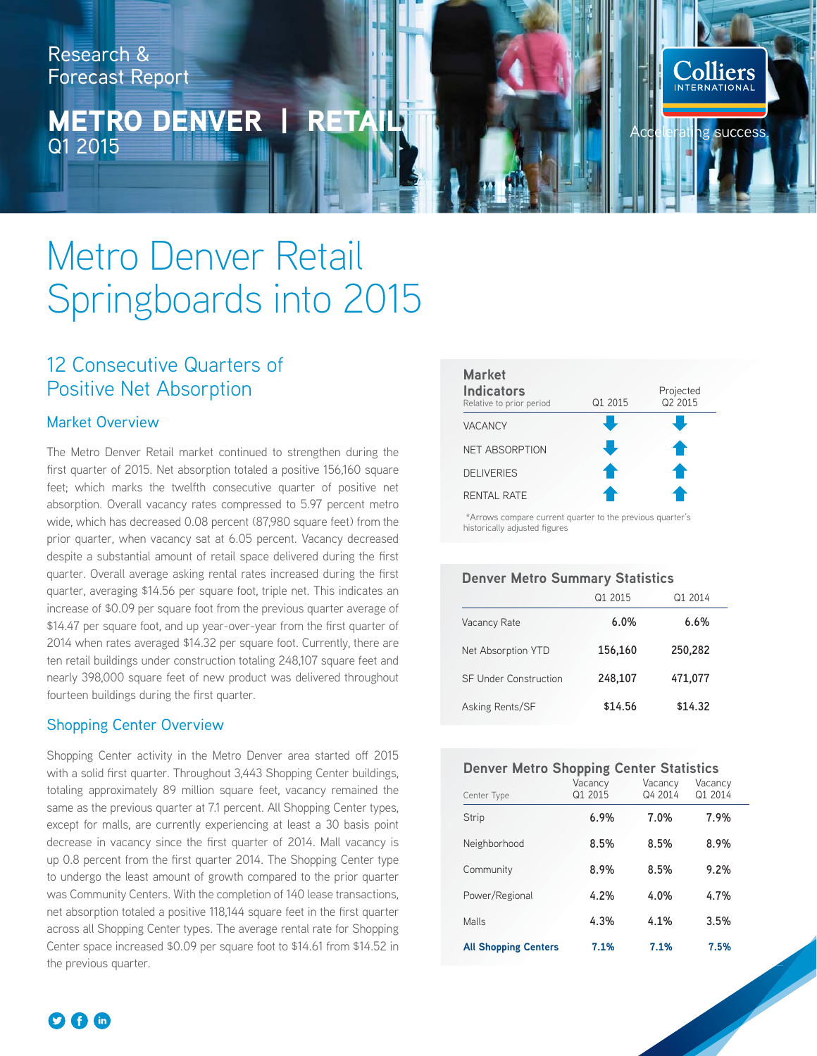Research & Forecast Report

## METRO DENVER | RETAIL Q1 2015

# Metro Denver Retail Springboards into 2015

## 12 Consecutive Quarters of Positive Net Absorption

#### Market Overview

The Metro Denver Retail market continued to strengthen during the first quarter of 2015. Net absorption totaled a positive 156,160 square feet; which marks the twelfth consecutive quarter of positive net absorption. Overall vacancy rates compressed to 5.97 percent metro wide, which has decreased 0.08 percent (87,980 square feet) from the prior quarter, when vacancy sat at 6.05 percent. Vacancy decreased despite a substantial amount of retail space delivered during the first quarter. Overall average asking rental rates increased during the first quarter, averaging \$14.56 per square foot, triple net. This indicates an increase of \$0.09 per square foot from the previous quarter average of \$14.47 per square foot, and up year-over-year from the first quarter of 2014 when rates averaged \$14.32 per square foot. Currently, there are ten retail buildings under construction totaling 248,107 square feet and nearly 398,000 square feet of new product was delivered throughout fourteen buildings during the first quarter.

#### Shopping Center Overview

Shopping Center activity in the Metro Denver area started off 2015 with a solid first quarter. Throughout 3,443 Shopping Center buildings, totaling approximately 89 million square feet, vacancy remained the same as the previous quarter at 7.1 percent. All Shopping Center types, except for malls, are currently experiencing at least a 30 basis point decrease in vacancy since the first quarter of 2014. Mall vacancy is up 0.8 percent from the first quarter 2014. The Shopping Center type to undergo the least amount of growth compared to the prior quarter was Community Centers. With the completion of 140 lease transactions, net absorption totaled a positive 118,144 square feet in the first quarter across all Shopping Center types. The average rental rate for Shopping Center space increased \$0.09 per square foot to \$14.61 from \$14.52 in the previous quarter.



**Colliers** 

ng success

 \*Arrows compare current quarter to the previous quarter's historically adjusted figures

#### **Denver Metro Summary Statistics**

|                              | $\Omega$ 1 2015 | Q1 2014 |
|------------------------------|-----------------|---------|
| Vacancy Rate                 | 6.0%            | 6.6%    |
| Net Absorption YTD           | 156,160         | 250,282 |
| <b>SF Under Construction</b> | 248,107         | 471,077 |
| Asking Rents/SF              | \$14.56         | \$14.32 |

#### **Denver Metro Shopping Center Statistics**

| Center Type                 | Vacancy<br>Q1 2015 | Vacancy<br>Q4 2014 | Vacancy<br>Q1 2014 |  |
|-----------------------------|--------------------|--------------------|--------------------|--|
| Strip                       | 6.9%               | 7.0%               | 7.9%               |  |
| Neighborhood                | 8.5%               | 8.5%               | 8.9%               |  |
| Community                   | 8.9%               | 8.5%               | 9.2%               |  |
| Power/Regional              | 4.2%               | 4.0%               | 4.7%               |  |
| Malls                       | 4.3%               | 4.1%               | 3.5%               |  |
| <b>All Shopping Centers</b> | 7.1%               | 7.1%               | 7.5%               |  |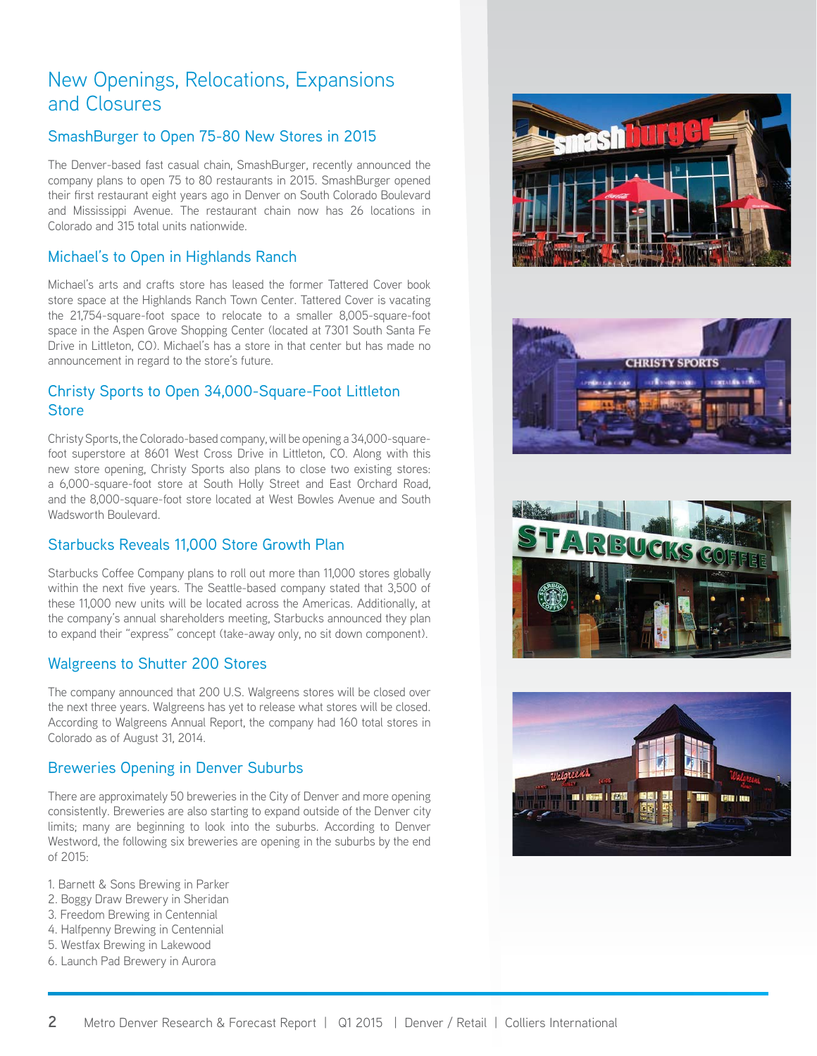## New Openings, Relocations, Expansions and Closures

#### SmashBurger to Open 75-80 New Stores in 2015

The Denver-based fast casual chain, SmashBurger, recently announced the company plans to open 75 to 80 restaurants in 2015. SmashBurger opened their first restaurant eight years ago in Denver on South Colorado Boulevard and Mississippi Avenue. The restaurant chain now has 26 locations in Colorado and 315 total units nationwide.

## Michael's to Open in Highlands Ranch

Michael's arts and crafts store has leased the former Tattered Cover book store space at the Highlands Ranch Town Center. Tattered Cover is vacating the 21,754-square-foot space to relocate to a smaller 8,005-square-foot space in the Aspen Grove Shopping Center (located at 7301 South Santa Fe Drive in Littleton, CO). Michael's has a store in that center but has made no announcement in regard to the store's future.

## Christy Sports to Open 34,000-Square-Foot Littleton **Store**

Christy Sports, the Colorado-based company, will be opening a 34,000-squarefoot superstore at 8601 West Cross Drive in Littleton, CO. Along with this new store opening, Christy Sports also plans to close two existing stores: a 6,000-square-foot store at South Holly Street and East Orchard Road, and the 8,000-square-foot store located at West Bowles Avenue and South Wadsworth Boulevard.

## Starbucks Reveals 11,000 Store Growth Plan

Starbucks Coffee Company plans to roll out more than 11,000 stores globally within the next five years. The Seattle-based company stated that 3,500 of these 11,000 new units will be located across the Americas. Additionally, at the company's annual shareholders meeting, Starbucks announced they plan to expand their "express" concept (take-away only, no sit down component).

## Walgreens to Shutter 200 Stores

The company announced that 200 U.S. Walgreens stores will be closed over the next three years. Walgreens has yet to release what stores will be closed. According to Walgreens Annual Report, the company had 160 total stores in Colorado as of August 31, 2014.

## Breweries Opening in Denver Suburbs

There are approximately 50 breweries in the City of Denver and more opening consistently. Breweries are also starting to expand outside of the Denver city limits; many are beginning to look into the suburbs. According to Denver Westword, the following six breweries are opening in the suburbs by the end of 2015:

- 1. Barnett & Sons Brewing in Parker
- 2. Boggy Draw Brewery in Sheridan
- 3. Freedom Brewing in Centennial
- 4. Halfpenny Brewing in Centennial
- 5. Westfax Brewing in Lakewood
- 6. Launch Pad Brewery in Aurora







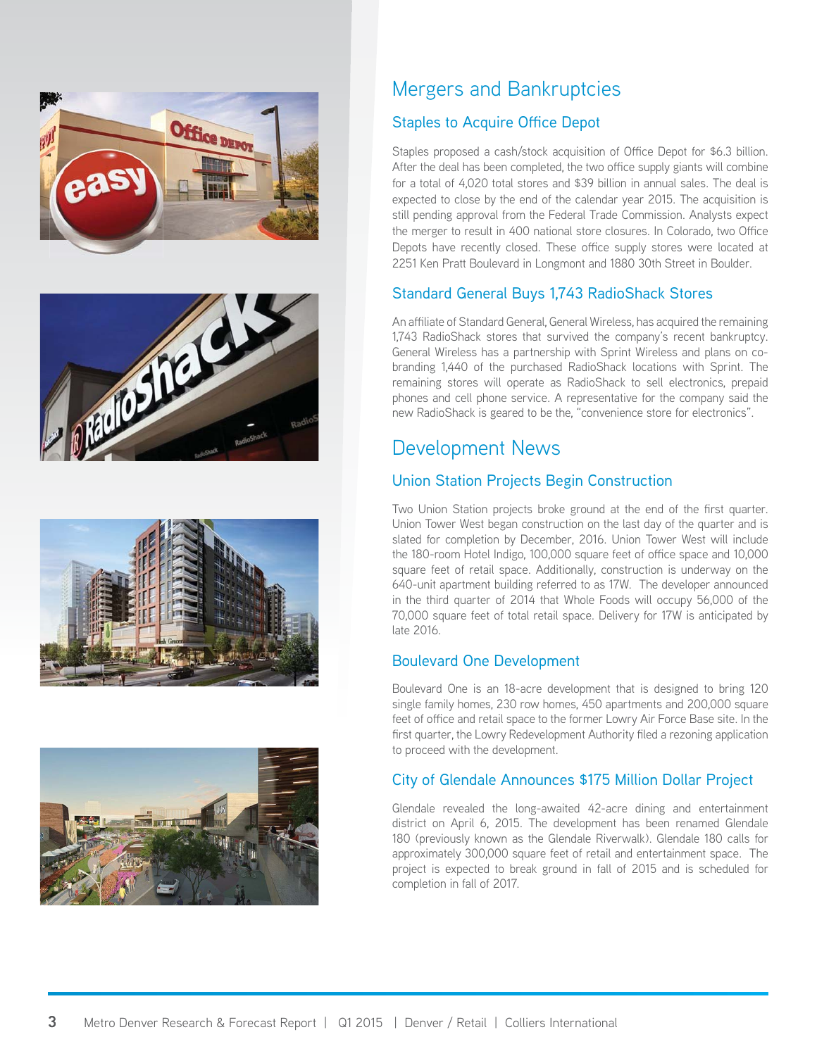







## Mergers and Bankruptcies

## Staples to Acquire Office Depot

Staples proposed a cash/stock acquisition of Office Depot for \$6.3 billion. After the deal has been completed, the two office supply giants will combine for a total of 4,020 total stores and \$39 billion in annual sales. The deal is expected to close by the end of the calendar year 2015. The acquisition is still pending approval from the Federal Trade Commission. Analysts expect the merger to result in 400 national store closures. In Colorado, two Office Depots have recently closed. These office supply stores were located at 2251 Ken Pratt Boulevard in Longmont and 1880 30th Street in Boulder.

## Standard General Buys 1,743 RadioShack Stores

An affiliate of Standard General, General Wireless, has acquired the remaining 1,743 RadioShack stores that survived the company's recent bankruptcy. General Wireless has a partnership with Sprint Wireless and plans on cobranding 1,440 of the purchased RadioShack locations with Sprint. The remaining stores will operate as RadioShack to sell electronics, prepaid phones and cell phone service. A representative for the company said the new RadioShack is geared to be the, "convenience store for electronics".

## Development News

## Union Station Projects Begin Construction

Two Union Station projects broke ground at the end of the first quarter. Union Tower West began construction on the last day of the quarter and is slated for completion by December, 2016. Union Tower West will include the 180-room Hotel Indigo, 100,000 square feet of office space and 10,000 square feet of retail space. Additionally, construction is underway on the 640-unit apartment building referred to as 17W. The developer announced in the third quarter of 2014 that Whole Foods will occupy 56,000 of the 70,000 square feet of total retail space. Delivery for 17W is anticipated by late 2016.

## Boulevard One Development

Boulevard One is an 18-acre development that is designed to bring 120 single family homes, 230 row homes, 450 apartments and 200,000 square feet of office and retail space to the former Lowry Air Force Base site. In the first quarter, the Lowry Redevelopment Authority filed a rezoning application to proceed with the development.

## City of Glendale Announces \$175 Million Dollar Project

Glendale revealed the long-awaited 42-acre dining and entertainment district on April 6, 2015. The development has been renamed Glendale 180 (previously known as the Glendale Riverwalk). Glendale 180 calls for approximately 300,000 square feet of retail and entertainment space. The project is expected to break ground in fall of 2015 and is scheduled for completion in fall of 2017.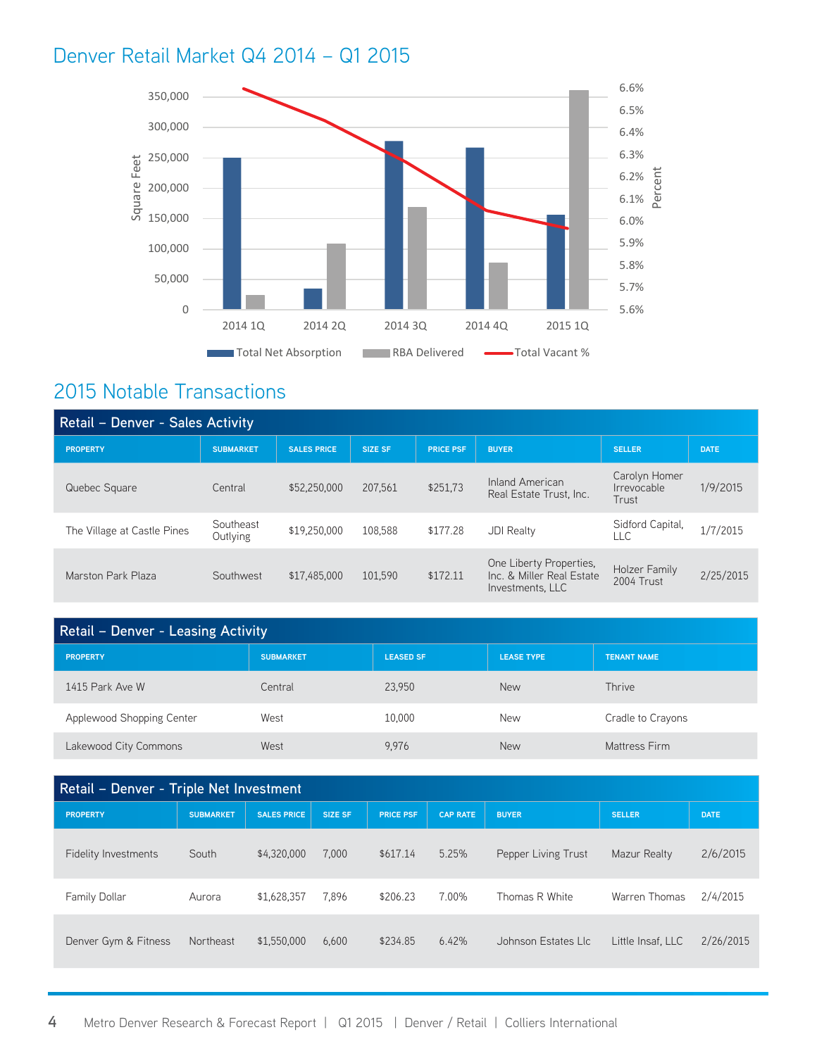## Denver Retail Market Q4 2014 – Q1 2015



## 2015 Notable Transactions

| <b>Retail - Denver - Sales Activity</b> |                       |                    |                |                  |                                                                          |                                       |             |  |
|-----------------------------------------|-----------------------|--------------------|----------------|------------------|--------------------------------------------------------------------------|---------------------------------------|-------------|--|
| <b>PROPERTY</b>                         | <b>SUBMARKET</b>      | <b>SALES PRICE</b> | <b>SIZE SF</b> | <b>PRICE PSF</b> | <b>BUYER</b>                                                             | <b>SELLER</b>                         | <b>DATE</b> |  |
| Quebec Square                           | Central               | \$52,250,000       | 207.561        | \$251,73         | Inland American<br>Real Estate Trust, Inc.                               | Carolyn Homer<br>Irrevocable<br>Trust | 1/9/2015    |  |
| The Village at Castle Pines             | Southeast<br>Outlying | \$19,250,000       | 108,588        | \$177.28         | <b>JDI Realty</b>                                                        | Sidford Capital,<br>LL C              | 1/7/2015    |  |
| Marston Park Plaza                      | Southwest             | \$17,485,000       | 101,590        | \$172.11         | One Liberty Properties,<br>Inc. & Miller Real Estate<br>Investments. LLC | Holzer Family<br>2004 Trust           | 2/25/2015   |  |

| Retail - Denver - Leasing Activity |                  |                  |                   |                    |  |  |
|------------------------------------|------------------|------------------|-------------------|--------------------|--|--|
| <b>PROPERTY</b>                    | <b>SUBMARKET</b> | <b>LEASED SF</b> | <b>LEASE TYPE</b> | <b>TENANT NAME</b> |  |  |
| 1415 Park Ave W                    | Central          | 23.950           | <b>New</b>        | Thrive             |  |  |
| Applewood Shopping Center          | West             | 10.000           | New               | Cradle to Crayons  |  |  |
| Lakewood City Commons              | West             | 9.976            | <b>New</b>        | Mattress Firm      |  |  |

| Retail - Denver - Triple Net Investment |                  |                    |                |                  |                 |                     |                   |             |
|-----------------------------------------|------------------|--------------------|----------------|------------------|-----------------|---------------------|-------------------|-------------|
| <b>PROPERTY</b>                         | <b>SUBMARKET</b> | <b>SALES PRICE</b> | <b>SIZE SF</b> | <b>PRICE PSF</b> | <b>CAP RATE</b> | <b>BUYER</b>        | <b>SELLER</b>     | <b>DATE</b> |
| Fidelity Investments                    | South            | \$4,320,000        | 7.000          | \$617.14         | 5.25%           | Pepper Living Trust | Mazur Realty      | 2/6/2015    |
| <b>Family Dollar</b>                    | Aurora           | \$1,628,357        | 7.896          | \$206.23         | 7.00%           | Thomas R White      | Warren Thomas     | 2/4/2015    |
| Denver Gym & Fitness                    | Northeast        | \$1,550,000        | 6,600          | \$234.85         | 6.42%           | Johnson Estates Llc | Little Insaf, LLC | 2/26/2015   |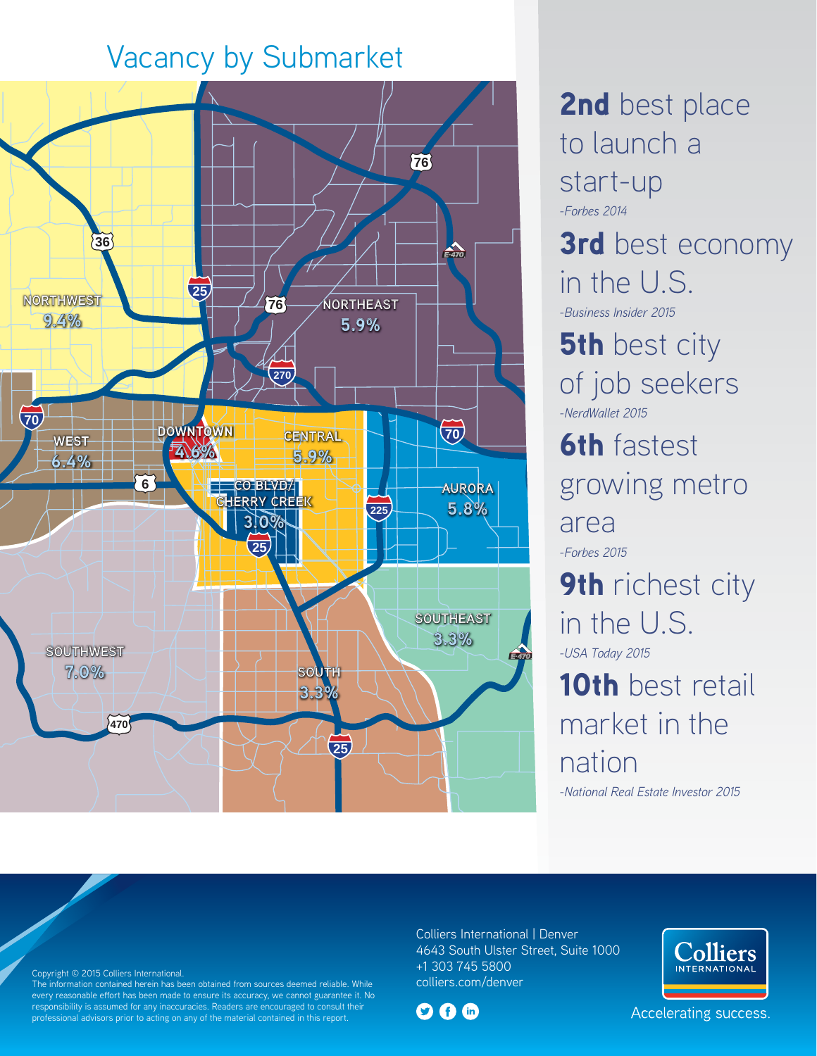# Vacancy by Submarket



2nd best place to launch a start-up *-Forbes 2014* 3rd best economy in the U.S. *-Business Insider 2015* **5th** best city of job seekers *-NerdWallet 2015* **6th** fastest growing metro area *-Forbes 2015* **9th** richest city in the U.S. *-USA Today 2015* 10th best retail market in the nation *-National Real Estate Investor 2015*

Copyright © 2015 Colliers International.

**Existenal advisors prior to acting on any of the material contained in this report. Existence of the Colliers International American Report in the Colliers International American Properties International American Proper** The information contained herein has been obtained from sources deemed reliable. While every reasonable effort has been made to ensure its accuracy, we cannot guarantee it. No responsibility is assumed for any inaccuracies. Readers are encouraged to consult their professional advisors prior to acting on any of the material contained in this report.

Colliers International | Denver 4643 South Ulster Street, Suite 1000 +1 303 745 5800 colliers.com/denver